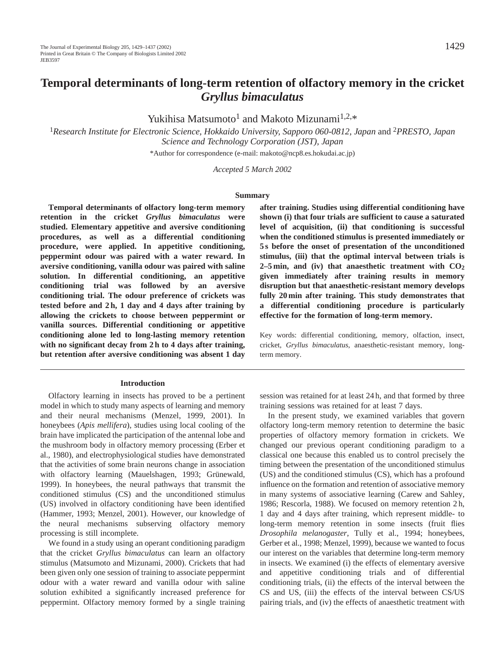# **Temporal determinants of long-term retention of olfactory memory in the cricket** *Gryllus bimaculatus*

Yukihisa Matsumoto<sup>1</sup> and Makoto Mizunami<sup>1,2,\*</sup>

<sup>1</sup>*Research Institute for Electronic Science, Hokkaido University, Sapporo 060-0812, Japan* and 2*PRESTO, Japan Science and Technology Corporation (JST), Japan*

\*Author for correspondence (e-mail: makoto@ncp8.es.hokudai.ac.jp)

*Accepted 5 March 2002*

#### **Summary**

**Temporal determinants of olfactory long-term memory retention in the cricket** *Gryllus bimaculatus* **were studied. Elementary appetitive and aversive conditioning procedures, as well as a differential conditioning procedure, were applied. In appetitive conditioning, peppermint odour was paired with a water reward. In aversive conditioning, vanilla odour was paired with saline solution. In differential conditioning, an appetitive conditioning trial was followed by an aversive conditioning trial. The odour preference of crickets was tested before and 2 h, 1 day and 4 days after training by allowing the crickets to choose between peppermint or vanilla sources. Differential conditioning or appetitive conditioning alone led to long-lasting memory retention with no significant decay from 2 h to 4 days after training, but retention after aversive conditioning was absent 1 day**

#### **Introduction**

Olfactory learning in insects has proved to be a pertinent model in which to study many aspects of learning and memory and their neural mechanisms (Menzel, 1999, 2001). In honeybees (*Apis mellifera*), studies using local cooling of the brain have implicated the participation of the antennal lobe and the mushroom body in olfactory memory processing (Erber et al., 1980), and electrophysiological studies have demonstrated that the activities of some brain neurons change in association with olfactory learning (Mauelshagen, 1993; Grünewald, 1999). In honeybees, the neural pathways that transmit the conditioned stimulus (CS) and the unconditioned stimulus (US) involved in olfactory conditioning have been identified (Hammer, 1993; Menzel, 2001). However, our knowledge of the neural mechanisms subserving olfactory memory processing is still incomplete.

We found in a study using an operant conditioning paradigm that the cricket *Gryllus bimaculatus* can learn an olfactory stimulus (Matsumoto and Mizunami, 2000). Crickets that had been given only one session of training to associate peppermint odour with a water reward and vanilla odour with saline solution exhibited a significantly increased preference for peppermint. Olfactory memory formed by a single training

**after training. Studies using differential conditioning have shown (i) that four trials are sufficient to cause a saturated level of acquisition, (ii) that conditioning is successful when the conditioned stimulus is presented immediately or 5 s before the onset of presentation of the unconditioned stimulus, (iii) that the optimal interval between trials is 2–5 min, and (iv) that anaesthetic treatment with CO2 given immediately after training results in memory disruption but that anaesthetic-resistant memory develops fully 20 min after training. This study demonstrates that a differential conditioning procedure is particularly effective for the formation of long-term memory.**

Key words: differential conditioning, memory, olfaction, insect, cricket, *Gryllus bimaculatus*, anaesthetic-resistant memory, longterm memory.

session was retained for at least 24 h, and that formed by three training sessions was retained for at least 7 days.

In the present study, we examined variables that govern olfactory long-term memory retention to determine the basic properties of olfactory memory formation in crickets. We changed our previous operant conditioning paradigm to a classical one because this enabled us to control precisely the timing between the presentation of the unconditioned stimulus (US) and the conditioned stimulus (CS), which has a profound influence on the formation and retention of associative memory in many systems of associative learning (Carew and Sahley, 1986; Rescorla, 1988). We focused on memory retention 2 h, 1 day and 4 days after training, which represent middle- to long-term memory retention in some insects (fruit flies *Drosophila melanogaster*, Tully et al., 1994; honeybees, Gerber et al., 1998; Menzel, 1999), because we wanted to focus our interest on the variables that determine long-term memory in insects. We examined (i) the effects of elementary aversive and appetitive conditioning trials and of differential conditioning trials, (ii) the effects of the interval between the CS and US, (iii) the effects of the interval between CS/US pairing trials, and (iv) the effects of anaesthetic treatment with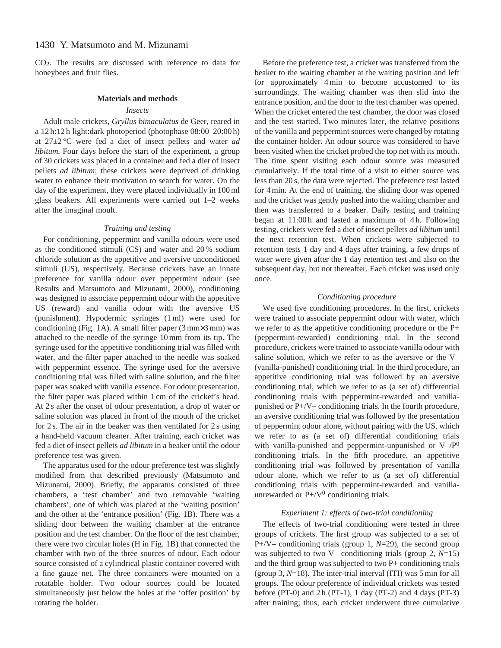CO2. The results are discussed with reference to data for honeybees and fruit flies.

#### **Materials and methods**

# *Insects*

Adult male crickets, *Gryllus bimaculatus* de Geer, reared in a 12 h:12 h light:dark photoperiod (photophase 08:00–20:00 h) at 27±2 °C were fed a diet of insect pellets and water *ad libitum.* Four days before the start of the experiment, a group of 30 crickets was placed in a container and fed a diet of insect pellets *ad libitum*; these crickets were deprived of drinking water to enhance their motivation to search for water. On the day of the experiment, they were placed individually in 100 ml glass beakers. All experiments were carried out 1–2 weeks after the imaginal moult.

## *Training and testing*

For conditioning, peppermint and vanilla odours were used as the conditioned stimuli (CS) and water and 20 % sodium chloride solution as the appetitive and aversive unconditioned stimuli (US), respectively. Because crickets have an innate preference for vanilla odour over peppermint odour (see Results and Matsumoto and Mizunami, 2000), conditioning was designed to associate peppermint odour with the appetitive US (reward) and vanilla odour with the aversive US (punishment). Hypodermic syringes (1 ml) were used for conditioning (Fig. 1A). A small filter paper (3 mm×3 mm) was attached to the needle of the syringe 10 mm from its tip. The syringe used for the appetitive conditioning trial was filled with water, and the filter paper attached to the needle was soaked with peppermint essence. The syringe used for the aversive conditioning trial was filled with saline solution, and the filter paper was soaked with vanilla essence. For odour presentation, the filter paper was placed within 1 cm of the cricket's head. At 2 s after the onset of odour presentation, a drop of water or saline solution was placed in front of the mouth of the cricket for 2 s. The air in the beaker was then ventilated for 2 s using a hand-held vacuum cleaner. After training, each cricket was fed a diet of insect pellets *ad libitum* in a beaker until the odour preference test was given.

The apparatus used for the odour preference test was slightly modified from that described previously (Matsumoto and Mizunami, 2000). Briefly, the apparatus consisted of three chambers, a 'test chamber' and two removable 'waiting chambers', one of which was placed at the 'waiting position' and the other at the 'entrance position' (Fig. 1B). There was a sliding door between the waiting chamber at the entrance position and the test chamber. On the floor of the test chamber, there were two circular holes (H in Fig. 1B) that connected the chamber with two of the three sources of odour. Each odour source consisted of a cylindrical plastic container covered with a fine gauze net. The three containers were mounted on a rotatable holder. Two odour sources could be located simultaneously just below the holes at the 'offer position' by rotating the holder.

Before the preference test, a cricket was transferred from the beaker to the waiting chamber at the waiting position and left for approximately 4 min to become accustomed to its surroundings. The waiting chamber was then slid into the entrance position, and the door to the test chamber was opened. When the cricket entered the test chamber, the door was closed and the test started. Two minutes later, the relative positions of the vanilla and peppermint sources were changed by rotating the container holder. An odour source was considered to have been visited when the cricket probed the top net with its mouth. The time spent visiting each odour source was measured cumulatively. If the total time of a visit to either source was less than 20 s, the data were rejected. The preference test lasted for 4 min. At the end of training, the sliding door was opened and the cricket was gently pushed into the waiting chamber and then was transferred to a beaker. Daily testing and training began at 11:00 h and lasted a maximum of 4 h. Following testing, crickets were fed a diet of insect pellets *ad libitum* until the next retention test. When crickets were subjected to retention tests 1 day and 4 days after training, a few drops of water were given after the 1 day retention test and also on the subsequent day, but not thereafter. Each cricket was used only once.

# *Conditioning procedure*

We used five conditioning procedures. In the first, crickets were trained to associate peppermint odour with water, which we refer to as the appetitive conditioning procedure or the P+ (peppermint-rewarded) conditioning trial. In the second procedure, crickets were trained to associate vanilla odour with saline solution, which we refer to as the aversive or the V– (vanilla-punished) conditioning trial. In the third procedure, an appetitive conditioning trial was followed by an aversive conditioning trial, which we refer to as (a set of) differential conditioning trials with peppermint-rewarded and vanillapunished or P+/V– conditioning trials. In the fourth procedure, an aversive conditioning trial was followed by the presentation of peppermint odour alone, without pairing with the US, which we refer to as (a set of) differential conditioning trials with vanilla-punished and peppermint-unpunished or  $V-P^0$ conditioning trials. In the fifth procedure, an appetitive conditioning trial was followed by presentation of vanilla odour alone, which we refer to as (a set of) differential conditioning trials with peppermint-rewarded and vanillaunrewarded or  $P+ / V^0$  conditioning trials.

# *Experiment 1: effects of two-trial conditioning*

The effects of two-trial conditioning were tested in three groups of crickets. The first group was subjected to a set of P+/V– conditioning trials (group 1, *N*=29), the second group was subjected to two V– conditioning trials (group 2, *N*=15) and the third group was subjected to two  $P+$  conditioning trials (group 3, *N*=18). The inter-trial interval (ITI) was 5 min for all groups. The odour preference of individual crickets was tested before (PT-0) and 2 h (PT-1), 1 day (PT-2) and 4 days (PT-3) after training; thus, each cricket underwent three cumulative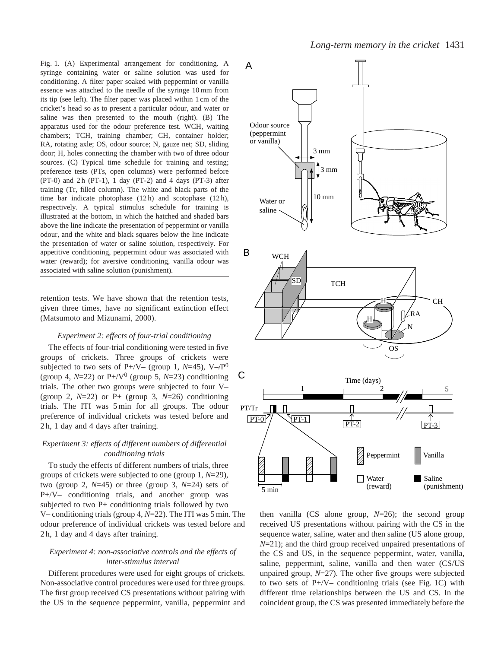Fig. 1. (A) Experimental arrangement for conditioning. A syringe containing water or saline solution was used for conditioning. A filter paper soaked with peppermint or vanilla essence was attached to the needle of the syringe 10 mm from its tip (see left). The filter paper was placed within 1 cm of the cricket's head so as to present a particular odour, and water or saline was then presented to the mouth (right). (B) The apparatus used for the odour preference test. WCH, waiting chambers; TCH, training chamber; CH, container holder; RA, rotating axle; OS, odour source; N, gauze net; SD, sliding door; H, holes connecting the chamber with two of three odour sources. (C) Typical time schedule for training and testing; preference tests (PTs, open columns) were performed before (PT-0) and  $2h$  (PT-1), 1 day (PT-2) and 4 days (PT-3) after training (Tr, filled column). The white and black parts of the time bar indicate photophase (12h) and scotophase (12h), respectively. A typical stimulus schedule for training is illustrated at the bottom, in which the hatched and shaded bars above the line indicate the presentation of peppermint or vanilla odour, and the white and black squares below the line indicate the presentation of water or saline solution, respectively. For appetitive conditioning, peppermint odour was associated with water (reward); for aversive conditioning, vanilla odour was associated with saline solution (punishment).

retention tests. We have shown that the retention tests, given three times, have no significant extinction effect (Matsumoto and Mizunami, 2000).

### *Experiment 2: effects of four-trial conditioning*

The effects of four-trial conditioning were tested in five groups of crickets. Three groups of crickets were subjected to two sets of P+/V– (group 1,  $N=45$ ), V–/P<sup>0</sup> (group 4,  $N=22$ ) or  $P+/\sqrt{V^0}$  (group 5,  $N=23$ ) conditioning trials. The other two groups were subjected to four V– (group 2,  $N=22$ ) or P+ (group 3,  $N=26$ ) conditioning trials. The ITI was 5 min for all groups. The odour preference of individual crickets was tested before and 2 h, 1 day and 4 days after training.

# *Experiment 3: effects of different numbers of differential conditioning trials*

To study the effects of different numbers of trials, three groups of crickets were subjected to one (group 1, *N*=29), two (group 2, *N*=45) or three (group 3, *N*=24) sets of P+/V– conditioning trials, and another group was subjected to two  $P+$  conditioning trials followed by two V– conditioning trials (group 4, *N*=22). The ITI was 5 min. The odour preference of individual crickets was tested before and 2 h, 1 day and 4 days after training.

# *Experiment 4: non-associative controls and the effects of inter-stimulus interval*

Different procedures were used for eight groups of crickets. Non-associative control procedures were used for three groups. The first group received CS presentations without pairing with the US in the sequence peppermint, vanilla, peppermint and



then vanilla (CS alone group, *N*=26); the second group received US presentations without pairing with the CS in the sequence water, saline, water and then saline (US alone group, *N*=21); and the third group received unpaired presentations of the CS and US, in the sequence peppermint, water, vanilla, saline, peppermint, saline, vanilla and then water (CS/US unpaired group, *N*=27). The other five groups were subjected to two sets of  $P+/\sqrt{V}$ – conditioning trials (see Fig. 1C) with different time relationships between the US and CS. In the coincident group, the CS was presented immediately before the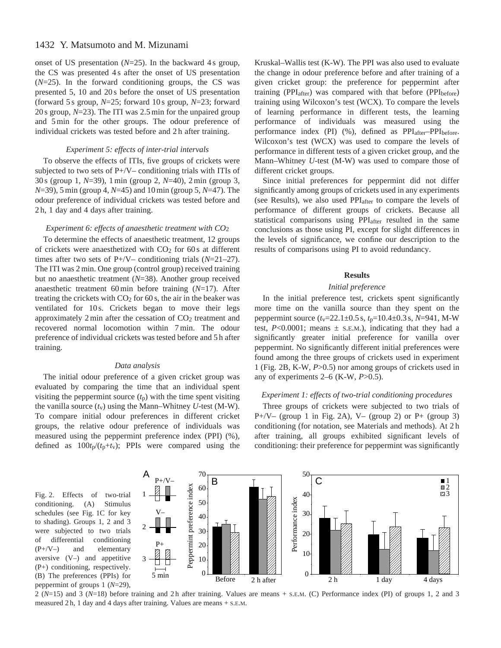# 1432 Y. Matsumoto and M. Mizunami

onset of US presentation  $(N=25)$ . In the backward 4 s group, the CS was presented 4 s after the onset of US presentation (*N*=25). In the forward conditioning groups, the CS was presented 5, 10 and 20 s before the onset of US presentation (forward 5 s group, *N*=25; forward 10 s group, *N*=23; forward 20 s group, *N*=23). The ITI was 2.5 min for the unpaired group and 5 min for the other groups. The odour preference of individual crickets was tested before and 2 h after training.

# *Experiment 5: effects of inter-trial intervals*

To observe the effects of ITIs, five groups of crickets were subjected to two sets of P+/V– conditioning trials with ITIs of 30 s (group 1, *N*=39), 1 min (group 2, *N*=40), 2 min (group 3, *N*=39), 5 min (group 4, *N*=45) and 10 min (group 5, *N*=47). The odour preference of individual crickets was tested before and 2 h, 1 day and 4 days after training.

# *Experiment 6: effects of anaesthetic treatment with CO*2

To determine the effects of anaesthetic treatment, 12 groups of crickets were anaesthetized with  $CO<sub>2</sub>$  for 60 s at different times after two sets of P+/V– conditioning trials (*N*=21–27). The ITI was 2 min. One group (control group) received training but no anaesthetic treatment (*N*=38). Another group received anaesthetic treatment 60 min before training (*N*=17). After treating the crickets with  $CO<sub>2</sub>$  for 60 s, the air in the beaker was ventilated for 10 s. Crickets began to move their legs approximately  $2 \text{ min}$  after the cessation of  $CO<sub>2</sub>$  treatment and recovered normal locomotion within 7 min. The odour preference of individual crickets was tested before and 5 h after training.

# *Data analysis*

The initial odour preference of a given cricket group was evaluated by comparing the time that an individual spent visiting the peppermint source  $(t<sub>p</sub>)$  with the time spent visiting the vanilla source  $(t_v)$  using the Mann–Whitney *U*-test (M-W). To compare initial odour preferences in different cricket groups, the relative odour preference of individuals was measured using the peppermint preference index (PPI) (%), defined as  $100t_p/(t_p+t_v)$ ; PPIs were compared using the Kruskal–Wallis test (K-W). The PPI was also used to evaluate the change in odour preference before and after training of a given cricket group: the preference for peppermint after training (PPI $_{after}$ ) was compared with that before (PPI $_{before}$ ) training using Wilcoxon's test (WCX). To compare the levels of learning performance in different tests, the learning performance of individuals was measured using the performance index (PI) (%), defined as PPI<sub>after</sub>-PPI<sub>before</sub>. Wilcoxon's test (WCX) was used to compare the levels of performance in different tests of a given cricket group, and the Mann–Whitney *U*-test (M-W) was used to compare those of different cricket groups.

Since initial preferences for peppermint did not differ significantly among groups of crickets used in any experiments (see Results), we also used PPIafter to compare the levels of performance of different groups of crickets. Because all statistical comparisons using PPIafter resulted in the same conclusions as those using PI, except for slight differences in the levels of significance, we confine our description to the results of comparisons using PI to avoid redundancy.

# **Results**

# *Initial preference*

In the initial preference test, crickets spent significantly more time on the vanilla source than they spent on the peppermint source (*t*v=22.1±0.5 s, *t*p=10.4±0.3 s, *N*=941, M-W test,  $P<0.0001$ ; means  $\pm$  s.e.m.), indicating that they had a significantly greater initial preference for vanilla over peppermint. No significantly different initial preferences were found among the three groups of crickets used in experiment 1 (Fig. 2B, K-W, *P*>0.5) nor among groups of crickets used in any of experiments 2–6 (K-W, *P*>0.5).

# *Experiment 1: effects of two-trial conditioning procedures*

Three groups of crickets were subjected to two trials of P+/V– (group 1 in Fig. 2A), V– (group 2) or P+ (group 3) conditioning (for notation, see Materials and methods). At 2 h after training, all groups exhibited significant levels of conditioning: their preference for peppermint was significantly

Fig. 2. Effects of two-trial conditioning. (A) Stimulus schedules (see Fig. 1C for key to shading). Groups 1, 2 and 3 were subjected to two trials of differential conditioning (P+/V–) and elementary aversive (V–) and appetitive (P+) conditioning, respectively. (B) The preferences (PPIs) for peppermint of groups 1 (*N*=29),



2 (*N*=15) and 3 (*N*=18) before training and 2 h after training. Values are means + S.E.M. (C) Performance index (PI) of groups 1, 2 and 3 measured 2 h, 1 day and 4 days after training. Values are means + S.E.M.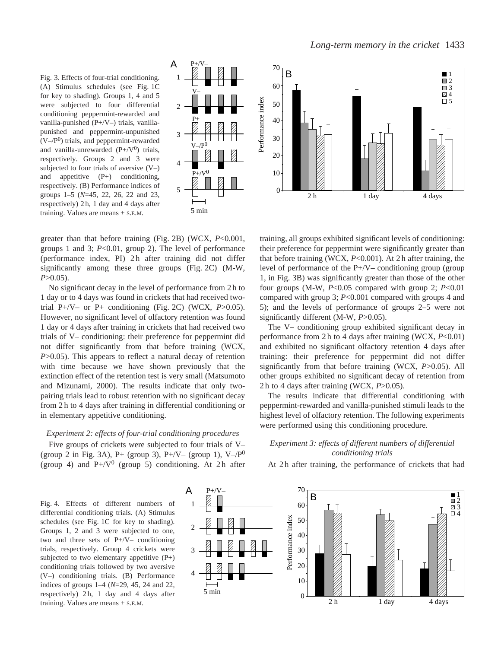Fig. 3. Effects of four-trial conditioning. (A) Stimulus schedules (see Fig. 1C for key to shading). Groups 1, 4 and 5 were subjected to four differential conditioning peppermint-rewarded and vanilla-punished (P+/V–) trials, vanillapunished and peppermint-unpunished  $(V-/P<sup>0</sup>)$  trials, and peppermint-rewarded and vanilla-unrewarded  $(P+/\nabla^0)$  trials, respectively. Groups 2 and 3 were subjected to four trials of aversive  $(V-)$ and appetitive (P+) conditioning, respectively. (B) Performance indices of groups 1–5 (*N*=45, 22, 26, 22 and 23, respectively) 2 h, 1 day and 4 days after training. Values are means + S.E.M.



Performance index

70 **1**  $\bar{=}$  2 60  $\Box$  3 4 Performance index  $\square$  5 50 40 30 20 10  $\theta$ 2 h 1 day 4 days

greater than that before training (Fig. 2B) (WCX, *P*<0.001, groups 1 and 3; *P*<0.01, group 2). The level of performance (performance index, PI) 2 h after training did not differ significantly among these three groups (Fig. 2C) (M-W, *P*>0.05).

No significant decay in the level of performance from 2 h to 1 day or to 4 days was found in crickets that had received twotrial P+/V– or P+ conditioning (Fig. 2C) (WCX, *P*>0.05). However, no significant level of olfactory retention was found 1 day or 4 days after training in crickets that had received two trials of V– conditioning: their preference for peppermint did not differ significantly from that before training (WCX, *P*>0.05). This appears to reflect a natural decay of retention with time because we have shown previously that the extinction effect of the retention test is very small (Matsumoto and Mizunami, 2000). The results indicate that only twopairing trials lead to robust retention with no significant decay from 2 h to 4 days after training in differential conditioning or in elementary appetitive conditioning.

## *Experiment 2: effects of four-trial conditioning procedures*

Five groups of crickets were subjected to four trials of V– (group 2 in Fig. 3A), P+ (group 3), P+/V– (group 1), V–/ $P^0$ (group 4) and  $P+/\sqrt{V^0}$  (group 5) conditioning. At 2h after

training, all groups exhibited significant levels of conditioning: their preference for peppermint were significantly greater than that before training (WCX, *P*<0.001). At 2 h after training, the level of performance of the  $P+/-$  conditioning group (group) 1, in Fig. 3B) was significantly greater than those of the other four groups (M-W, *P*<0.05 compared with group 2; *P*<0.01 compared with group 3; *P*<0.001 compared with groups 4 and 5); and the levels of performance of groups 2–5 were not significantly different (M-W, *P*>0.05).

The V– conditioning group exhibited significant decay in performance from 2 h to 4 days after training (WCX, *P*<0.01) and exhibited no significant olfactory retention 4 days after training: their preference for peppermint did not differ significantly from that before training (WCX, *P*>0.05). All other groups exhibited no significant decay of retention from 2 h to 4 days after training (WCX, *P*>0.05).

The results indicate that differential conditioning with peppermint-rewarded and vanilla-punished stimuli leads to the highest level of olfactory retention. The following experiments were performed using this conditioning procedure.

# *Experiment 3: effects of different numbers of differential conditioning trials*

Fig. 4. Effects of different numbers of differential conditioning trials. (A) Stimulus schedules (see Fig. 1C for key to shading). Groups 1, 2 and 3 were subjected to one, two and three sets of P+/V– conditioning trials, respectively. Group 4 crickets were subjected to two elementary appetitive (P+) conditioning trials followed by two aversive (V–) conditioning trials. (B) Performance indices of groups 1–4 (*N*=29, 45, 24 and 22, respectively) 2 h, 1 day and 4 days after training. Values are means + S.E.M.



At 2 h after training, the performance of crickets that had

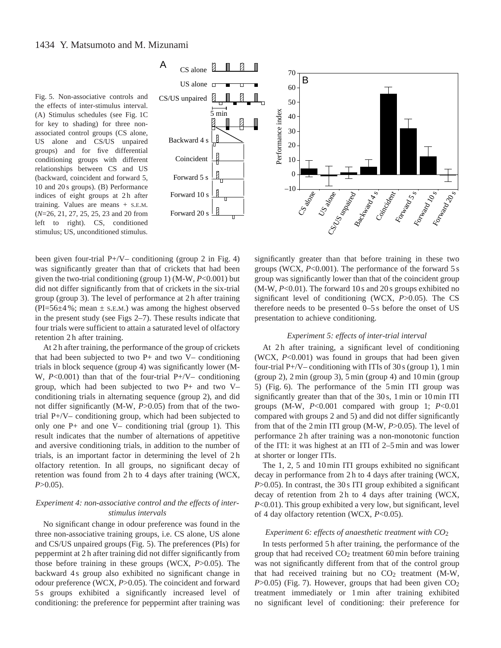Fig. 5. Non-associative controls and the effects of inter-stimulus interval. (A) Stimulus schedules (see Fig. 1C for key to shading) for three nonassociated control groups (CS alone, US alone and CS/US unpaired groups) and for five differential conditioning groups with different relationships between CS and US (backward, coincident and forward 5, 10 and 20 s groups). (B) Performance indices of eight groups at 2h after training. Values are means + S.E.M. (*N*=26, 21, 27, 25, 25, 23 and 20 from left to right). CS, conditioned stimulus; US, unconditioned stimulus.



been given four-trial  $P+/\sqrt{V}$  conditioning (group 2 in Fig. 4) was significantly greater than that of crickets that had been given the two-trial conditioning (group 1) (M-W, *P*<0.001) but did not differ significantly from that of crickets in the six-trial group (group 3). The level of performance at 2 h after training  $(PI=56\pm4\%;$  mean  $\pm$  s.e.m.) was among the highest observed in the present study (see Figs 2–7). These results indicate that four trials were sufficient to attain a saturated level of olfactory retention 2 h after training.

At 2 h after training, the performance of the group of crickets that had been subjected to two  $P+$  and two  $V-$  conditioning trials in block sequence (group 4) was significantly lower (M-W, *P*<0.001) than that of the four-trial P+/V– conditioning group, which had been subjected to two P+ and two V– conditioning trials in alternating sequence (group 2), and did not differ significantly (M-W, *P*>0.05) from that of the twotrial P+/V– conditioning group, which had been subjected to only one P+ and one V– conditioning trial (group 1). This result indicates that the number of alternations of appetitive and aversive conditioning trials, in addition to the number of trials, is an important factor in determining the level of 2 h olfactory retention. In all groups, no significant decay of retention was found from 2 h to 4 days after training (WCX, *P*>0.05).

# *Experiment 4: non-associative control and the effects of interstimulus intervals*

No significant change in odour preference was found in the three non-associative training groups, i.e. CS alone, US alone and CS/US unpaired groups (Fig. 5). The preferences (PIs) for peppermint at 2 h after training did not differ significantly from those before training in these groups (WCX, *P*>0.05). The backward 4 s group also exhibited no significant change in odour preference (WCX, *P*>0.05). The coincident and forward 5 s groups exhibited a significantly increased level of conditioning: the preference for peppermint after training was significantly greater than that before training in these two groups (WCX, *P*<0.001). The performance of the forward 5 s group was significantly lower than that of the coincident group (M-W, *P*<0.01). The forward 10 s and 20 s groups exhibited no significant level of conditioning (WCX, *P*>0.05). The CS therefore needs to be presented 0–5 s before the onset of US presentation to achieve conditioning.

### *Experiment 5: effects of inter-trial interval*

At 2h after training, a significant level of conditioning (WCX, *P*<0.001) was found in groups that had been given four-trial  $P+/V-$  conditioning with ITIs of 30 s (group 1), 1 min (group 2), 2 min (group 3), 5 min (group 4) and 10 min (group 5) (Fig. 6). The performance of the 5 min ITI group was significantly greater than that of the 30s, 1 min or 10 min ITI groups (M-W, *P*<0.001 compared with group 1; *P*<0.01 compared with groups 2 and 5) and did not differ significantly from that of the 2 min ITI group (M-W, *P*>0.05). The level of performance 2 h after training was a non-monotonic function of the ITI: it was highest at an ITI of 2–5 min and was lower at shorter or longer ITIs.

The 1, 2, 5 and 10 min ITI groups exhibited no significant decay in performance from 2 h to 4 days after training (WCX, *P*>0.05). In contrast, the 30 s ITI group exhibited a significant decay of retention from 2h to 4 days after training (WCX, *P*<0.01). This group exhibited a very low, but significant, level of 4 day olfactory retention (WCX, *P*<0.05).

#### *Experiment 6: effects of anaesthetic treatment with CO*2

In tests performed 5 h after training, the performance of the group that had received  $CO<sub>2</sub>$  treatment 60 min before training was not significantly different from that of the control group that had received training but no  $CO<sub>2</sub>$  treatment (M-W,  $P > 0.05$ ) (Fig. 7). However, groups that had been given  $CO<sub>2</sub>$ treatment immediately or 1 min after training exhibited no significant level of conditioning: their preference for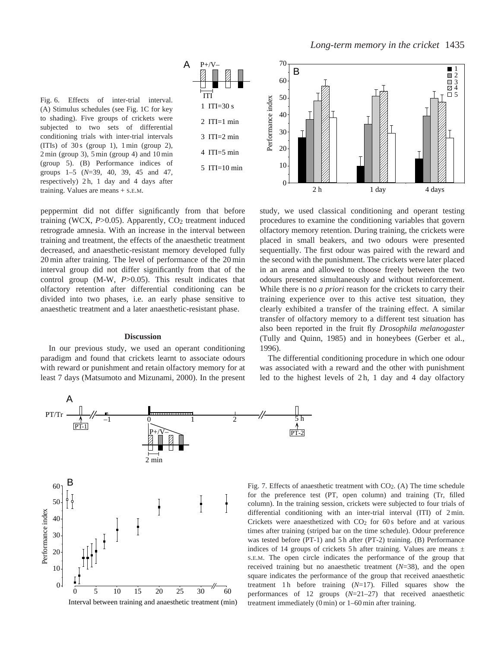Fig. 6. Effects of inter-trial interval. (A) Stimulus schedules (see Fig. 1C for key to shading). Five groups of crickets were subjected to two sets of differential conditioning trials with inter-trial intervals (ITIs) of  $30 s$  (group 1),  $1 min$  (group 2), 2 min (group 3), 5 min (group 4) and 10 min (group 5). (B) Performance indices of groups 1–5 (*N*=39, 40, 39, 45 and 47, respectively) 2 h, 1 day and 4 days after training. Values are means + S.E.M.

peppermint did not differ significantly from that before training (WCX, P>0.05). Apparently, CO<sub>2</sub> treatment induced retrograde amnesia. With an increase in the interval between training and treatment, the effects of the anaesthetic treatment decreased, and anaesthetic-resistant memory developed fully 20 min after training. The level of performance of the 20 min interval group did not differ significantly from that of the control group (M-W, *P*>0.05). This result indicates that olfactory retention after differential conditioning can be divided into two phases, i.e. an early phase sensitive to anaesthetic treatment and a later anaesthetic-resistant phase.

ITI 1 ITI=30 s  $2$  ITI=1 min  $3$  ITI=2 min 4 ITI=5 min

P+/V–

A

5 ITI=10 min

#### **Discussion**

In our previous study, we used an operant conditioning paradigm and found that crickets learnt to associate odours with reward or punishment and retain olfactory memory for at least 7 days (Matsumoto and Mizunami, 2000). In the present



Interval between training and anaesthetic treatment (min)



study, we used classical conditioning and operant testing procedures to examine the conditioning variables that govern olfactory memory retention. During training, the crickets were placed in small beakers, and two odours were presented sequentially. The first odour was paired with the reward and the second with the punishment. The crickets were later placed in an arena and allowed to choose freely between the two odours presented simultaneously and without reinforcement. While there is no *a priori* reason for the crickets to carry their training experience over to this active test situation, they clearly exhibited a transfer of the training effect. A similar transfer of olfactory memory to a different test situation has also been reported in the fruit fly *Drosophila melanogaster* (Tully and Quinn, 1985) and in honeybees (Gerber et al., 1996).

The differential conditioning procedure in which one odour was associated with a reward and the other with punishment led to the highest levels of 2h, 1 day and 4 day olfactory

PT-2

Fig. 7. Effects of anaesthetic treatment with  $CO<sub>2</sub>$ . (A) The time schedule for the preference test (PT, open column) and training (Tr, filled column). In the training session, crickets were subjected to four trials of differential conditioning with an inter-trial interval (ITI) of 2 min. Crickets were anaesthetized with  $CO<sub>2</sub>$  for 60 s before and at various times after training (striped bar on the time schedule). Odour preference was tested before (PT-1) and 5h after (PT-2) training. (B) Performance indices of 14 groups of crickets 5h after training. Values are means  $\pm$ S.E.M. The open circle indicates the performance of the group that received training but no anaesthetic treatment (*N*=38), and the open square indicates the performance of the group that received anaesthetic treatment 1 h before training  $(N=17)$ . Filled squares show the performances of 12 groups (*N*=21–27) that received anaesthetic treatment immediately (0 min) or 1–60 min after training.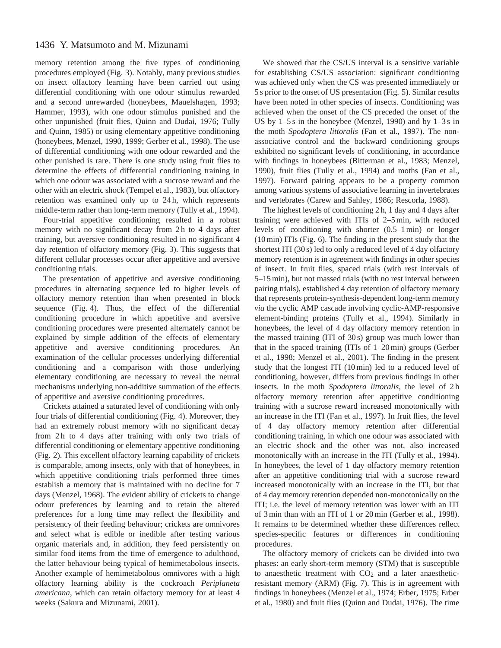# 1436 Y. Matsumoto and M. Mizunami

memory retention among the five types of conditioning procedures employed (Fig. 3). Notably, many previous studies on insect olfactory learning have been carried out using differential conditioning with one odour stimulus rewarded and a second unrewarded (honeybees, Mauelshagen, 1993; Hammer, 1993), with one odour stimulus punished and the other unpunished (fruit flies, Quinn and Dudai, 1976; Tully and Quinn, 1985) or using elementary appetitive conditioning (honeybees, Menzel, 1990, 1999; Gerber et al., 1998). The use of differential conditioning with one odour rewarded and the other punished is rare. There is one study using fruit flies to determine the effects of differential conditioning training in which one odour was associated with a sucrose reward and the other with an electric shock (Tempel et al., 1983), but olfactory retention was examined only up to 24 h, which represents middle-term rather than long-term memory (Tully et al., 1994).

Four-trial appetitive conditioning resulted in a robust memory with no significant decay from 2 h to 4 days after training, but aversive conditioning resulted in no significant 4 day retention of olfactory memory (Fig. 3). This suggests that different cellular processes occur after appetitive and aversive conditioning trials.

The presentation of appetitive and aversive conditioning procedures in alternating sequence led to higher levels of olfactory memory retention than when presented in block sequence (Fig. 4). Thus, the effect of the differential conditioning procedure in which appetitive and aversive conditioning procedures were presented alternately cannot be explained by simple addition of the effects of elementary appetitive and aversive conditioning procedures. An examination of the cellular processes underlying differential conditioning and a comparison with those underlying elementary conditioning are necessary to reveal the neural mechanisms underlying non-additive summation of the effects of appetitive and aversive conditioning procedures.

Crickets attained a saturated level of conditioning with only four trials of differential conditioning (Fig. 4). Moreover, they had an extremely robust memory with no significant decay from 2h to 4 days after training with only two trials of differential conditioning or elementary appetitive conditioning (Fig. 2). This excellent olfactory learning capability of crickets is comparable, among insects, only with that of honeybees, in which appetitive conditioning trials performed three times establish a memory that is maintained with no decline for 7 days (Menzel, 1968). The evident ability of crickets to change odour preferences by learning and to retain the altered preferences for a long time may reflect the flexibility and persistency of their feeding behaviour; crickets are omnivores and select what is edible or inedible after testing various organic materials and, in addition, they feed persistently on similar food items from the time of emergence to adulthood, the latter behaviour being typical of hemimetabolous insects. Another example of hemimetabolous omnivores with a high olfactory learning ability is the cockroach *Periplaneta americana*, which can retain olfactory memory for at least 4 weeks (Sakura and Mizunami, 2001).

We showed that the CS/US interval is a sensitive variable for establishing CS/US association: significant conditioning was achieved only when the CS was presented immediately or 5 s prior to the onset of US presentation (Fig. 5). Similar results have been noted in other species of insects. Conditioning was achieved when the onset of the CS preceded the onset of the US by  $1-5s$  in the honeybee (Menzel, 1990) and by  $1-3s$  in the moth *Spodoptera littoralis* (Fan et al., 1997). The nonassociative control and the backward conditioning groups exhibited no significant levels of conditioning, in accordance with findings in honeybees (Bitterman et al., 1983; Menzel, 1990), fruit flies (Tully et al., 1994) and moths (Fan et al., 1997). Forward pairing appears to be a property common among various systems of associative learning in invertebrates and vertebrates (Carew and Sahley, 1986; Rescorla, 1988).

The highest levels of conditioning 2 h, 1 day and 4 days after training were achieved with ITIs of 2–5 min, with reduced levels of conditioning with shorter (0.5–1 min) or longer (10 min) ITIs (Fig. 6). The finding in the present study that the shortest ITI (30 s) led to only a reduced level of 4 day olfactory memory retention is in agreement with findings in other species of insect. In fruit flies, spaced trials (with rest intervals of 5–15 min), but not massed trials (with no rest interval between pairing trials), established 4 day retention of olfactory memory that represents protein-synthesis-dependent long-term memory *via* the cyclic AMP cascade involving cyclic-AMP-responsive element-binding proteins (Tully et al., 1994). Similarly in honeybees, the level of 4 day olfactory memory retention in the massed training (ITI of 30 s) group was much lower than that in the spaced training (ITIs of 1–20 min) groups (Gerber et al., 1998; Menzel et al., 2001). The finding in the present study that the longest ITI (10 min) led to a reduced level of conditioning, however, differs from previous findings in other insects. In the moth *Spodoptera littoralis*, the level of 2h olfactory memory retention after appetitive conditioning training with a sucrose reward increased monotonically with an increase in the ITI (Fan et al., 1997). In fruit flies, the level of 4 day olfactory memory retention after differential conditioning training, in which one odour was associated with an electric shock and the other was not, also increased monotonically with an increase in the ITI (Tully et al., 1994). In honeybees, the level of 1 day olfactory memory retention after an appetitive conditioning trial with a sucrose reward increased monotonically with an increase in the ITI, but that of 4 day memory retention depended non-monotonically on the ITI; i.e. the level of memory retention was lower with an ITI of 3 min than with an ITI of 1 or 20 min (Gerber et al., 1998). It remains to be determined whether these differences reflect species-specific features or differences in conditioning procedures.

The olfactory memory of crickets can be divided into two phases: an early short-term memory (STM) that is susceptible to anaesthetic treatment with  $CO<sub>2</sub>$  and a later anaestheticresistant memory (ARM) (Fig. 7). This is in agreement with findings in honeybees (Menzel et al., 1974; Erber, 1975; Erber et al., 1980) and fruit flies (Quinn and Dudai, 1976). The time